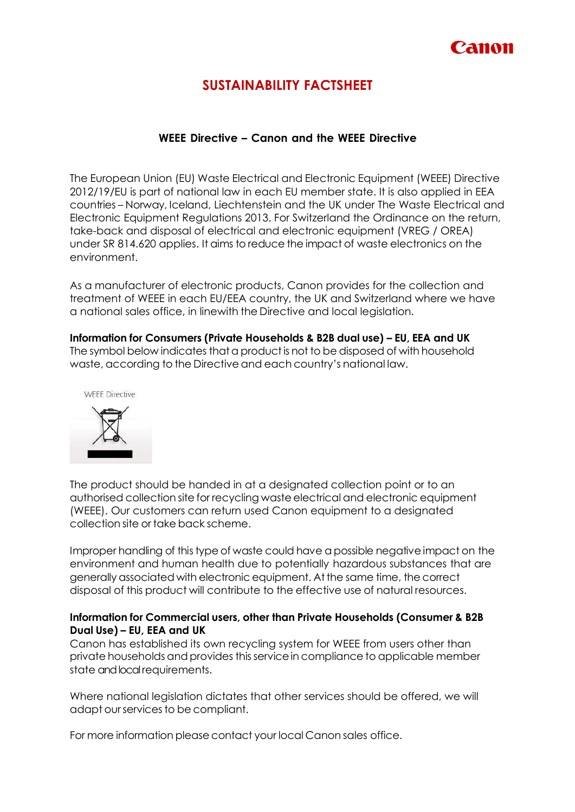

# **SUSTAINABILITY FACTSHEET**

# **WEEE Directive – Canon and the WEEE Directive**

The European Union (EU) Waste Electrical and Electronic Equipment (WEEE) Directive 2012/19/EU is part of national law in each EU member state. It is also applied in EEA countries – Norway, Iceland, Liechtenstein and the UK under The Waste Electrical and Electronic Equipment Regulations 2013. For Switzerland the Ordinance on the return, take-back and disposal of electrical and electronic equipment (VREG / OREA) under SR 814.620 applies. It aims to reduce the impact of waste electronics on the environment.

As a manufacturer of electronic products, Canon provides for the collection and treatment of WEEE in each EU/EEA country, the UK and Switzerland where we have a national sales office, in linewith the Directive and local legislation.

**Information for Consumers (Private Households & B2B dual use) – EU, EEA and UK** The symbol below indicates that a product is not to be disposed of with household waste, according to the Directive and each country's national law.



The product should be handed in at a designated collection point or to an authorised collection site for recycling waste electrical and electronic equipment (WEEE). Our customers can return used Canon equipment to a designated collection site or take back scheme.

Improper handling of this type of waste could have a possible negative impact on the environment and human health due to potentially hazardous substances that are generally associated with electronic equipment. Atthe same time, the correct disposal of this product will contribute to the effective use of natural resources.

# **Information for Commercial users, other than Private Households (Consumer & B2B Dual Use) – EU, EEA and UK**

Canon has established its own recycling system for WEEE from users other than private households and provides this service in compliance to applicable member state and local requirements.

Where national legislation dictates that other services should be offered, we will adapt our services to be compliant.

For more information please contact your local Canon sales office.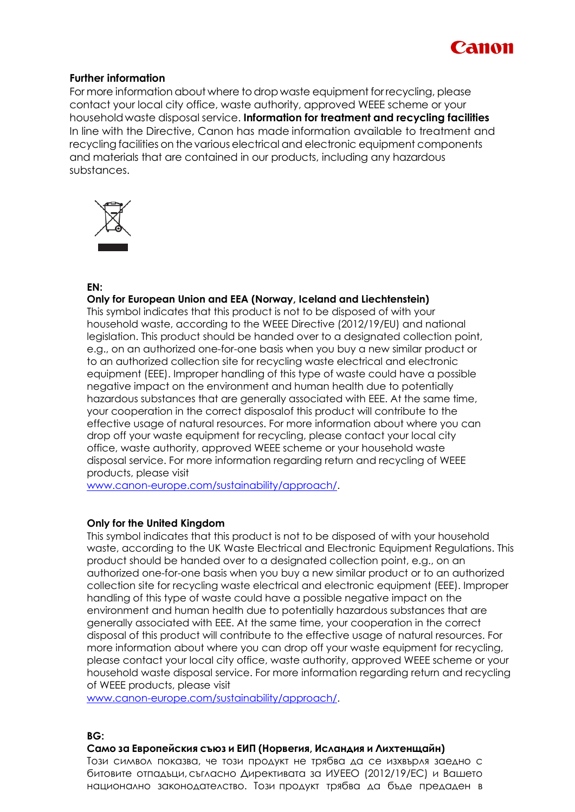

# **Further information**

For more information about where todrop waste equipment for recycling, please contact your local city office, waste authority, approved WEEE scheme or your household waste disposal service. **Information for treatment and recycling facilities** In line with the Directive, Canon has made information available to treatment and recycling facilities on the various electrical and electronic equipment components and materials that are contained in our products, including any hazardous substances.



# **EN:**

# **Only for European Union and EEA (Norway, Iceland and Liechtenstein)**

This symbol indicates that this product is not to be disposed of with your household waste, according to the WEEE Directive (2012/19/EU) and national legislation. This product should be handed over to a designated collection point, e.g., on an authorized one-for-one basis when you buy a new similar product or to an authorized collection site for recycling waste electrical and electronic equipment (EEE). Improper handling of this type of waste could have a possible negative impact on the environment and human health due to potentially hazardous substances that are generally associated with EEE. At the same time, your cooperation in the correct disposalof this product will contribute to the effective usage of natural resources. For more information about where you can drop off your waste equipment for recycling, please contact your local city office, waste authority, approved WEEE scheme or your household waste disposal service. For more information regarding return and recycling of WEEE products, please visit

[www.canon-europe.com/sustainability/approach/.](http://www.canon-europe.com/sustainability/approach/)

# **Only for the United Kingdom**

This symbol indicates that this product is not to be disposed of with your household waste, according to the UK Waste Electrical and Electronic Equipment Regulations. This product should be handed over to a designated collection point, e.g., on an authorized one-for-one basis when you buy a new similar product or to an authorized collection site for recycling waste electrical and electronic equipment (EEE). Improper handling of this type of waste could have a possible negative impact on the environment and human health due to potentially hazardous substances that are generally associated with EEE. At the same time, your cooperation in the correct disposal of this product will contribute to the effective usage of natural resources. For more information about where you can drop off your waste equipment for recycling, please contact your local city office, waste authority, approved WEEE scheme or your household waste disposal service. For more information regarding return and recycling of WEEE products, please visit

[www.canon-europe.com/sustainability/approach/.](http://www.canon-europe.com/sustainability/approach/)

# **BG:**

# **Само за Европейския съюз и ЕИП (Норвегия, Исландия и Лихтенщайн)**

Този символ показва, че този продукт не трябва да се изхвърля заедно с битовите отпадъци,съгласно Директивата за ИУЕЕО (2012/19/ЕC) и Вашето национално законодателство. Този продукт трябва да бъде предаден в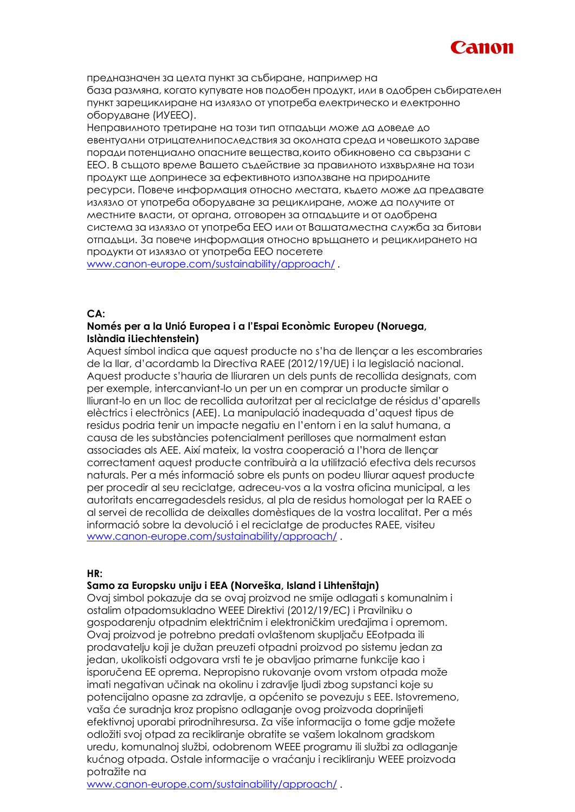

предназначен за целта пункт за събиране, например на база размяна, когато купувате нов подобен продукт, или в одобрен събирателен пункт зарециклиране на излязло от употреба електрическо и електронно оборудване (ИУЕЕО).

Неправилното третиране на този тип отпадъци може да доведе до евентуални отрицателнипоследствия за околната среда и човешкото здраве поради потенциално опасните вещества,които обикновено са свързани с ЕЕО. В същото време Вашето съдействие за правилното изхвърляне на този продукт ще допринесе за ефективното използване на природните ресурси. Повече информация относно местата, където може да предавате излязло от употреба оборудване за рециклиране, може да получите от местните власти, от органа, отговорен за отпадъците и от одобрена система за излязло от употреба ЕЕО или от Вашатаместна служба за битови отпадъци. За повече информация относно връщането и рециклирането на продукти от излязло от употреба ЕЕО посетете

[www.canon-europe.com/sustainability/approach/](http://www.canon-europe.com/sustainability/approach/) .

# **CA:**

# **Només per a la Unió Europea i a l'Espai Econòmic Europeu (Noruega, Islàndia iLiechtenstein)**

Aquest símbol indica que aquest producte no s'ha de llençar a les escombraries de la llar, d'acordamb la Directiva RAEE (2012/19/UE) i la legislació nacional. Aquest producte s'hauria de lliuraren un dels punts de recollida designats, com per exemple, intercanviant-lo un per un en comprar un producte similar o lliurant-lo en un lloc de recollida autoritzat per al reciclatge de résidus d'aparells elèctrics i electrònics (AEE). La manipulació inadequada d'aquest tipus de residus podria tenir un impacte negatiu en l'entorn i en la salut humana, a causa de les substàncies potencialment perilloses que normalment estan associades als AEE. Així mateix, la vostra cooperació a l'hora de llençar correctament aquest producte contribuirà a la utilització efectiva dels recursos naturals. Per a més informació sobre els punts on podeu lliurar aquest producte per procedir al seu reciclatge, adreceu-vos a la vostra oficina municipal, a les autoritats encarregadesdels residus, al pla de residus homologat per la RAEE o al servei de recollida de deixalles domèstiques de la vostra localitat. Per a més informació sobre la devolució i el reciclatge de productes RAEE, visiteu [www.canon-europe.com/sustainability/approach/](http://www.canon-europe.com/sustainability/approach/) .

# **HR:**

# **Samo za Europsku uniju i EEA (Norveška, Island i Lihtenštajn)**

Ovaj simbol pokazuje da se ovaj proizvod ne smije odlagati s komunalnim i ostalim otpadomsukladno WEEE Direktivi (2012/19/EC) i Pravilniku o gospodarenju otpadnim električnim i elektroničkim uređajima i opremom. Ovaj proizvod je potrebno predati ovlaštenom skupljaču EEotpada ili prodavatelju koji je dužan preuzeti otpadni proizvod po sistemu jedan za jedan, ukolikoisti odgovara vrsti te je obavljao primarne funkcije kao i isporučena EE oprema. Nepropisno rukovanje ovom vrstom otpada može imati negativan učinak na okolinu i zdravlje ljudi zbog supstanci koje su potencijalno opasne za zdravlje, a općenito se povezuju s EEE. Istovremeno, vaša će suradnja kroz propisno odlaganje ovog proizvoda doprinijeti efektivnoj uporabi prirodnihresursa. Za više informacija o tome gdje možete odložiti svoj otpad za recikliranje obratite se vašem lokalnom gradskom uredu, komunalnoj službi, odobrenom WEEE programu ili službi za odlaganje kućnog otpada. Ostale informacije o vraćanju i recikliranju WEEE proizvoda potražite na

[www.canon-europe.com/sustainability/approach/](http://www.canon-europe.com/sustainability/approach/) .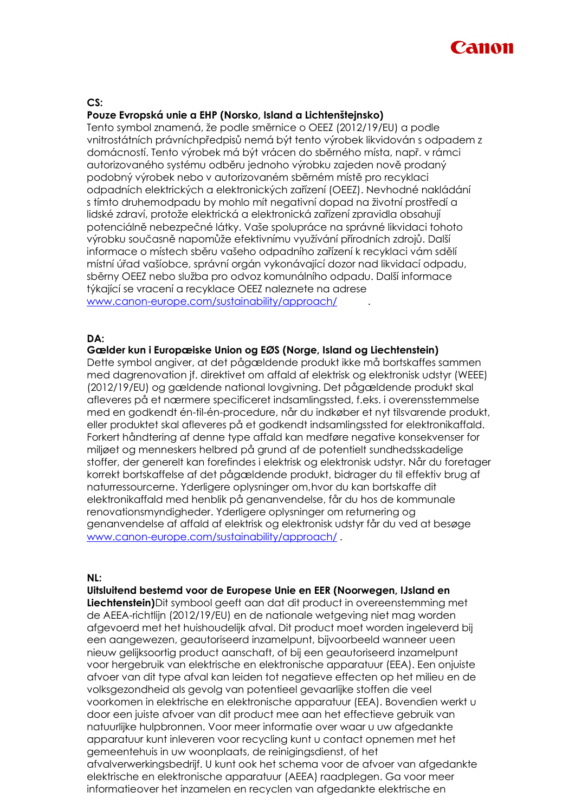

# **CS:**

### **Pouze Evropská unie a EHP (Norsko, Island a Lichtenštejnsko)**

Tento symbol znamená, že podle směrnice o OEEZ (2012/19/EU) a podle vnitrostátních právníchpředpisů nemá být tento výrobek likvidován s odpadem z domácností. Tento výrobek má být vrácen do sběrného místa, např. v rámci autorizovaného systému odběru jednoho výrobku zajeden nově prodaný podobný výrobek nebo v autorizovaném sběrném místě pro recyklaci odpadních elektrických a elektronických zařízení (OEEZ). Nevhodné nakládání s tímto druhemodpadu by mohlo mít negativní dopad na životní prostředí a lidské zdraví, protože elektrická a elektronická zařízení zpravidla obsahují potenciálně nebezpečné látky. Vaše spolupráce na správné likvidaci tohoto výrobku současně napomůže efektivnímu využívání přírodních zdrojů. Další informace o místech sběru vašeho odpadního zařízení k recyklaci vám sdělí místní úřad vašíobce, správní orgán vykonávající dozor nad likvidací odpadu, sběrny OEEZ nebo služba pro odvoz komunálního odpadu. Další informace týkající se vracení a recyklace OEEZ naleznete na adrese [www.canon-europe.com/sustainability/approach/](http://www.canon-europe.com/sustainability/approach/) .

# **DA:**

**Gælder kun i Europæiske Union og EØS (Norge, Island og Liechtenstein)**

Dette symbol angiver, at det pågældende produkt ikke må bortskaffes sammen med dagrenovation jf. direktivet om affald af elektrisk og elektronisk udstyr (WEEE) (2012/19/EU) og gældende national lovgivning. Det pågældende produkt skal afleveres på et nærmere specificeret indsamlingssted, f.eks. i overensstemmelse med en godkendt én-til-én-procedure, når du indkøber et nyt tilsvarende produkt, eller produktet skal afleveres på et godkendt indsamlingssted for elektronikaffald. Forkert håndtering af denne type affald kan medføre negative konsekvenser for miljøet og menneskers helbred på grund af de potentielt sundhedsskadelige stoffer, der generelt kan forefindes i elektrisk og elektronisk udstyr. Når du foretager korrekt bortskaffelse af det pågældende produkt, bidrager du til effektiv brug af naturressourcerne. Yderligere oplysninger om,hvor du kan bortskaffe dit elektronikaffald med henblik på genanvendelse, får du hos de kommunale renovationsmyndigheder. Yderligere oplysninger om returnering og genanvendelse af affald af elektrisk og elektronisk udstyr får du ved at besøge [www.canon-europe.com/sustainability/approach/](http://www.canon-europe.com/sustainability/approach/) .

## **NL:**

#### **Uitsluitend bestemd voor de Europese Unie en EER (Noorwegen, IJsland en**

**Liechtenstein)**Dit symbool geeft aan dat dit product in overeenstemming met de AEEA-richtlijn (2012/19/EU) en de nationale wetgeving niet mag worden afgevoerd met het huishoudelijk afval. Dit product moet worden ingeleverd bij een aangewezen, geautoriseerd inzamelpunt, bijvoorbeeld wanneer ueen nieuw gelijksoortig product aanschaft, of bij een geautoriseerd inzamelpunt voor hergebruik van elektrische en elektronische apparatuur (EEA). Een onjuiste afvoer van dit type afval kan leiden tot negatieve effecten op het milieu en de volksgezondheid als gevolg van potentieel gevaarlijke stoffen die veel voorkomen in elektrische en elektronische apparatuur (EEA). Bovendien werkt u door een juiste afvoer van dit product mee aan het effectieve gebruik van natuurlijke hulpbronnen. Voor meer informatie over waar u uw afgedankte apparatuur kunt inleveren voor recycling kunt u contact opnemen met het gemeentehuis in uw woonplaats, de reinigingsdienst, of het afvalverwerkingsbedrijf. U kunt ook het schema voor de afvoer van afgedankte elektrische en elektronische apparatuur (AEEA) raadplegen. Ga voor meer informatieover het inzamelen en recyclen van afgedankte elektrische en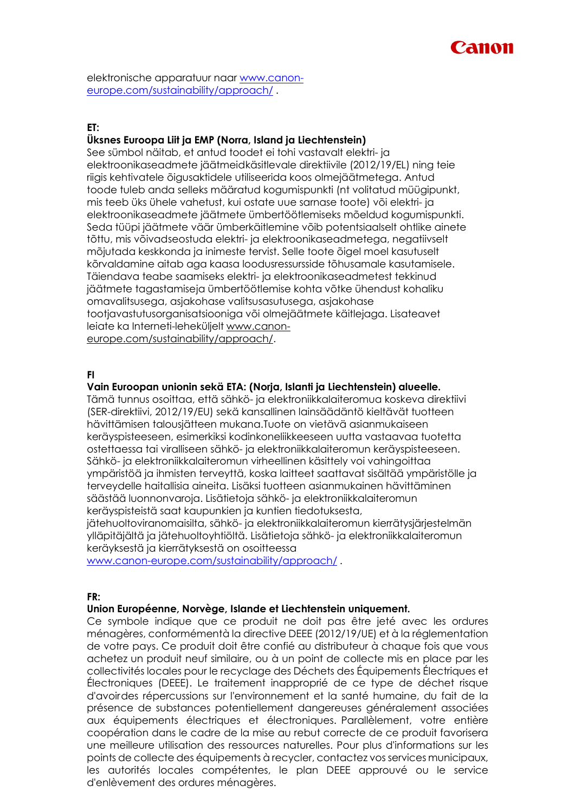

elektronische apparatuur naar [www.canon](http://www.canon-europe.com/sustainability/approach/)[europe.com/sustainability/approach/](http://www.canon-europe.com/sustainability/approach/) .

# **ET:**

# **Üksnes Euroopa Liit ja EMP (Norra, Island ja Liechtenstein)**

See sümbol näitab, et antud toodet ei tohi vastavalt elektri- ja elektroonikaseadmete jäätmeidkäsitlevale direktiivile (2012/19/EL) ning teie riigis kehtivatele õigusaktidele utiliseerida koos olmejäätmetega. Antud toode tuleb anda selleks määratud kogumispunkti (nt volitatud müügipunkt, mis teeb üks ühele vahetust, kui ostate uue sarnase toote) või elektri- ja elektroonikaseadmete jäätmete ümbertöötlemiseks mõeldud kogumispunkti. Seda tüüpi jäätmete väär ümberkäitlemine võib potentsiaalselt ohtlike ainete tõttu, mis võivadseostuda elektri- ja elektroonikaseadmetega, negatiivselt mõjutada keskkonda ja inimeste tervist. Selle toote õigel moel kasutuselt kõrvaldamine aitab aga kaasa loodusressursside tõhusamale kasutamisele. Täiendava teabe saamiseks elektri- ja elektroonikaseadmetest tekkinud jäätmete tagastamiseja ümbertöötlemise kohta võtke ühendust kohaliku omavalitsusega, asjakohase valitsusasutusega, asjakohase tootjavastutusorganisatsiooniga või olmejäätmete käitlejaga. Lisateavet leiate ka Interneti-leheküljelt [www.canon](http://www.canon-europe.com/sustainability/approach/)[europe.com/sustainability/approach/.](http://www.canon-europe.com/sustainability/approach/)

# **FI**

# **Vain Euroopan unionin sekä ETA: (Norja, Islanti ja Liechtenstein) alueelle.**

Tämä tunnus osoittaa, että sähkö- ja elektroniikkalaiteromua koskeva direktiivi (SER-direktiivi, 2012/19/EU) sekä kansallinen lainsäädäntö kieltävät tuotteen hävittämisen talousjätteen mukana.Tuote on vietävä asianmukaiseen keräyspisteeseen, esimerkiksi kodinkoneliikkeeseen uutta vastaavaa tuotetta ostettaessa tai viralliseen sähkö- ja elektroniikkalaiteromun keräyspisteeseen. Sähkö- ja elektroniikkalaiteromun virheellinen käsittely voi vahingoittaa ympäristöä ja ihmisten terveyttä, koska laitteet saattavat sisältää ympäristölle ja terveydelle haitallisia aineita. Lisäksi tuotteen asianmukainen hävittäminen säästää luonnonvaroja. Lisätietoja sähkö- ja elektroniikkalaiteromun keräyspisteistä saat kaupunkien ja kuntien tiedotuksesta,

jätehuoltoviranomaisilta, sähkö- ja elektroniikkalaiteromun kierrätysjärjestelmän ylläpitäjältä ja jätehuoltoyhtiöltä. Lisätietoja sähkö- ja elektroniikkalaiteromun keräyksestä ja kierrätyksestä on osoitteessa

[www.canon-europe.com/sustainability/approach/](http://www.canon-europe.com/sustainability/approach/) .

#### **FR:**

#### **Union Européenne, Norvège, Islande et Liechtenstein uniquement.**

Ce symbole indique que ce produit ne doit pas être jeté avec les ordures ménagères, conformémentà la directive DEEE (2012/19/UE) et à la réglementation de votre pays. Ce produit doit être confié au distributeur à chaque fois que vous achetez un produit neuf similaire, ou à un point de collecte mis en place par les collectivités locales pour le recyclage des Déchets des Équipements Électriques et Électroniques (DEEE). Le traitement inapproprié de ce type de déchet risque d'avoirdes répercussions sur l'environnement et la santé humaine, du fait de la présence de substances potentiellement dangereuses généralement associées aux équipements électriques et électroniques. Parallèlement, votre entière coopération dans le cadre de la mise au rebut correcte de ce produit favorisera une meilleure utilisation des ressources naturelles. Pour plus d'informations sur les points de collecte des équipements à recycler, contactez vos services municipaux, les autorités locales compétentes, le plan DEEE approuvé ou le service d'enlèvement des ordures ménagères.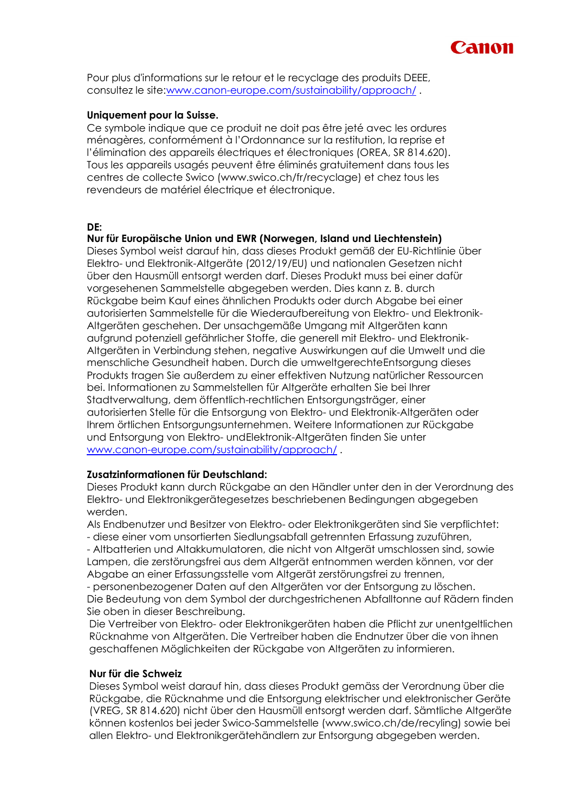

Pour plus d'informations sur le retour et le recyclage des produits DEEE, consultez le site[:www.canon-europe.com/sustainability/approach/](http://www.canon-europe.com/sustainability/approach/) .

# **Uniquement pour la Suisse.**

Ce symbole indique que ce produit ne doit pas être jeté avec les ordures ménagères, conformément à l'Ordonnance sur la restitution, la reprise et l'élimination des appareils électriques et électroniques (OREA, SR 814.620). Tous les appareils usagés peuvent être éliminés gratuitement dans tous les centres de collecte Swico (www.swico.ch/fr/recyclage) et chez tous les revendeurs de matériel électrique et électronique.

# **DE:**

# **Nur für Europäische Union und EWR (Norwegen, Island und Liechtenstein)**

Dieses Symbol weist darauf hin, dass dieses Produkt gemäß der EU-Richtlinie über Elektro- und Elektronik-Altgeräte (2012/19/EU) und nationalen Gesetzen nicht über den Hausmüll entsorgt werden darf. Dieses Produkt muss bei einer dafür vorgesehenen Sammelstelle abgegeben werden. Dies kann z. B. durch Rückgabe beim Kauf eines ähnlichen Produkts oder durch Abgabe bei einer autorisierten Sammelstelle für die Wiederaufbereitung von Elektro- und Elektronik-Altgeräten geschehen. Der unsachgemäße Umgang mit Altgeräten kann aufgrund potenziell gefährlicher Stoffe, die generell mit Elektro- und Elektronik-Altgeräten in Verbindung stehen, negative Auswirkungen auf die Umwelt und die menschliche Gesundheit haben. Durch die umweltgerechteEntsorgung dieses Produkts tragen Sie außerdem zu einer effektiven Nutzung natürlicher Ressourcen bei. Informationen zu Sammelstellen für Altgeräte erhalten Sie bei Ihrer Stadtverwaltung, dem öffentlich-rechtlichen Entsorgungsträger, einer autorisierten Stelle für die Entsorgung von Elektro- und Elektronik-Altgeräten oder Ihrem örtlichen Entsorgungsunternehmen. Weitere Informationen zur Rückgabe und Entsorgung von Elektro- undElektronik-Altgeräten finden Sie unter [www.canon-europe.com/sustainability/approach/](http://www.canon-europe.com/sustainability/approach/) .

# **Zusatzinformationen für Deutschland:**

Dieses Produkt kann durch Rückgabe an den Händler unter den in der Verordnung des Elektro- und Elektronikgerätegesetzes beschriebenen Bedingungen abgegeben werden.

Als Endbenutzer und Besitzer von Elektro- oder Elektronikgeräten sind Sie verpflichtet: - diese einer vom unsortierten Siedlungsabfall getrennten Erfassung zuzuführen,

- Altbatterien und Altakkumulatoren, die nicht von Altgerät umschlossen sind, sowie Lampen, die zerstörungsfrei aus dem Altgerät entnommen werden können, vor der Abgabe an einer Erfassungsstelle vom Altgerät zerstörungsfrei zu trennen,

- personenbezogener Daten auf den Altgeräten vor der Entsorgung zu löschen. Die Bedeutung von dem Symbol der durchgestrichenen Abfalltonne auf Rädern finden Sie oben in dieser Beschreibung.

Die Vertreiber von Elektro- oder Elektronikgeräten haben die Pflicht zur unentgeltlichen Rücknahme von Altgeräten. Die Vertreiber haben die Endnutzer über die von ihnen geschaffenen Möglichkeiten der Rückgabe von Altgeräten zu informieren.

# **Nur für die Schweiz**

Dieses Symbol weist darauf hin, dass dieses Produkt gemäss der Verordnung über die Rückgabe, die Rücknahme und die Entsorgung elektrischer und elektronischer Geräte (VREG, SR 814.620) nicht über den Hausmüll entsorgt werden darf. Sämtliche Altgeräte können kostenlos bei jeder Swico-Sammelstelle (www.swico.ch/de/recyling) sowie bei allen Elektro- und Elektronikgerätehändlern zur Entsorgung abgegeben werden.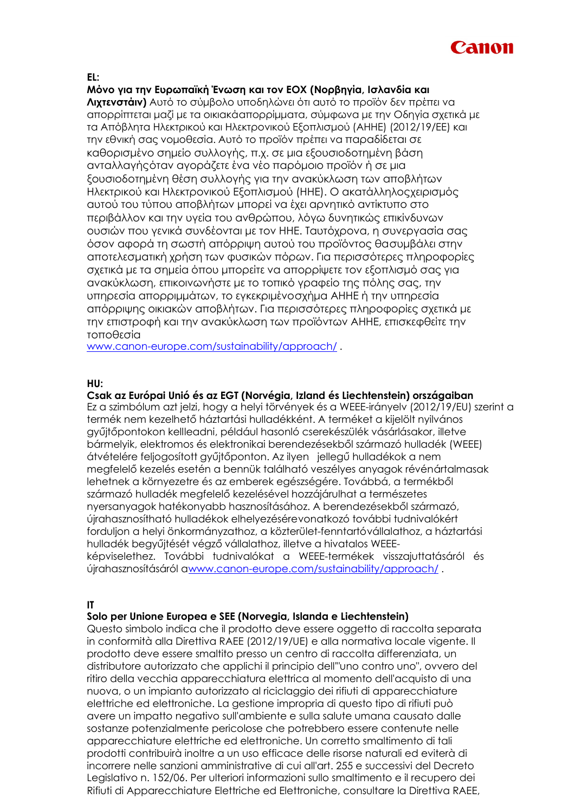

### **EL:**

**Μόνο για την Ευρωπαϊκή Ένωση και τον ΕΟΧ (Νορβηγία, Ισλανδία και Λιχτενστάιν)** Αυτό το σύμβολο υποδηλώνει ότι αυτό το προϊόν δεν πρέπει να απορρίπτεται μαζί με τα οικιακάαπορρίμματα, σύμφωνα με την Οδηγία σχετικά με τα Απόβλητα Ηλεκτρικού και Ηλεκτρονικού Εξοπλισμού (ΑΗΗΕ) (2012/19/ΕΕ) και την εθνική σας νομοθεσία. Αυτό το προϊόν πρέπει να παραδίδεται σε καθορισμένο σημείο συλλογής, π.χ. σε μια εξουσιοδοτημένη βάση ανταλλαγήςόταν αγοράζετε ένα νέο παρόμοιο προϊόν ή σε μια ξουσιοδοτημένη θέση συλλογής για την ανακύκλωση των αποβλήτων Ηλεκτρικού και Ηλεκτρονικού Εξοπλισμού (ΗΗΕ). Ο ακατάλληλοςχειρισμός αυτού του τύπου αποβλήτων μπορεί να έχει αρνητικό αντίκτυπο στο περιβάλλον και την υγεία του ανθρώπου, λόγω δυνητικώς επικίνδυνων ουσιών που γενικά συνδέονται με τον ΗΗΕ. Ταυτόχρονα, η συνεργασία σας όσον αφορά τη σωστή απόρριψη αυτού του προϊόντος θασυμβάλει στην αποτελεσματική χρήση των φυσικών πόρων. Για περισσότερες πληροφορίες σχετικά με τα σημεία όπου μπορείτε να απορρίψετε τον εξοπλισμό σας για ανακύκλωση, επικοινωνήστε με το τοπικό γραφείο της πόλης σας, την υπηρεσία απορριμμάτων, το εγκεκριμένοσχήμα ΑΗΗΕ ή την υπηρεσία απόρριψης οικιακών αποβλήτων. Για περισσότερες πληροφορίες σχετικά με την επιστροφή και την ανακύκλωση των προϊόντων ΑΗΗΕ, επισκεφθείτε την τοποθεσία

[www.canon-europe.com/sustainability/approach/](http://www.canon-europe.com/sustainability/approach/) .

### **HU:**

# **Csak az Európai Unió és az EGT (Norvégia, Izland és Liechtenstein) országaiban**

Ez a szimbólum azt jelzi, hogy a helyi törvények és a WEEE-irányelv (2012/19/EU) szerint a termék nem kezelhető háztartási hulladékként. A terméket a kijelölt nyilvános gyűjtőpontokon kellleadni, például hasonló cserekészülék vásárlásakor, illetve bármelyik, elektromos és elektronikai berendezésekből származó hulladék (WEEE) átvételére feljogosított gyűjtőponton. Az ilyen jellegű hulladékok a nem megfelelő kezelés esetén a bennük található veszélyes anyagok révénártalmasak lehetnek a környezetre és az emberek egészségére. Továbbá, a termékből származó hulladék megfelelő kezelésével hozzájárulhat a természetes nyersanyagok hatékonyabb hasznosításához. A berendezésekből származó, újrahasznosítható hulladékok elhelyezésérevonatkozó további tudnivalókért forduljon a helyi önkormányzathoz, a közterület-fenntartóvállalathoz, a háztartási hulladék begyűjtését végző vállalathoz, illetve a hivatalos WEEEképviselethez. További tudnivalókat a WEEE-termékek visszajuttatásáról és újrahasznosításáról [awww.canon-europe.com/sustainability/approach/](http://www.canon-europe.com/sustainability/approach/) .

# **IT**

# **Solo per Unione Europea e SEE (Norvegia, Islanda e Liechtenstein)**

Questo simbolo indica che il prodotto deve essere oggetto di raccolta separata in conformità alla Direttiva RAEE (2012/19/UE) e alla normativa locale vigente. Il prodotto deve essere smaltito presso un centro di raccolta differenziata, un distributore autorizzato che applichi il principio dell'"uno contro uno", ovvero del ritiro della vecchia apparecchiatura elettrica al momento dell'acquisto di una nuova, o un impianto autorizzato al riciclaggio dei rifiuti di apparecchiature elettriche ed elettroniche. La gestione impropria di questo tipo di rifiuti può avere un impatto negativo sull'ambiente e sulla salute umana causato dalle sostanze potenzialmente pericolose che potrebbero essere contenute nelle apparecchiature elettriche ed elettroniche. Un corretto smaltimento di tali prodotti contribuirà inoltre a un uso efficace delle risorse naturali ed eviterà di incorrere nelle sanzioni amministrative di cui all'art. 255 e successivi del Decreto Legislativo n. 152/06. Per ulteriori informazioni sullo smaltimento e il recupero dei Rifiuti di Apparecchiature Elettriche ed Elettroniche, consultare la Direttiva RAEE,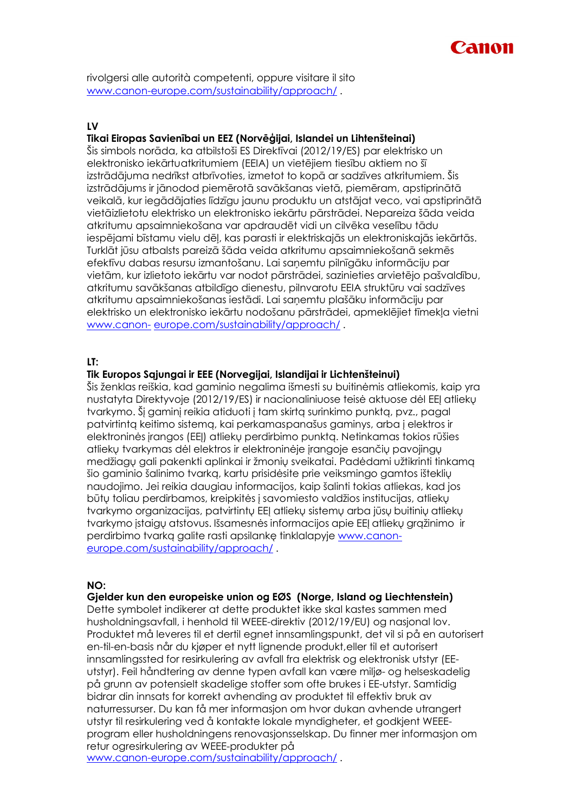

rivolgersi alle autorità competenti, oppure visitare il sito [www.canon-europe.com/sustainability/approach/](http://www.canon-europe.com/sustainability/approach/) .

# **LV**

# **Tikai Eiropas Savienībai un EEZ (Norvēģijai, Islandei un Lihtenšteinai)**

Šis simbols norāda, ka atbilstoši ES Direktīvai (2012/19/ES) par elektrisko un elektronisko iekārtuatkritumiem (EEIA) un vietējiem tiesību aktiem no šī izstrādājuma nedrīkst atbrīvoties, izmetot to kopā ar sadzīves atkritumiem. Šis izstrādājums ir jānodod piemērotā savākšanas vietā, piemēram, apstiprinātā veikalā, kur iegādājaties līdzīgu jaunu produktu un atstājat veco, vai apstiprinātā vietāizlietotu elektrisko un elektronisko iekārtu pārstrādei. Nepareiza šāda veida atkritumu apsaimniekošana var apdraudēt vidi un cilvēka veselību tādu iespējami bīstamu vielu dēļ, kas parasti ir elektriskajās un elektroniskajās iekārtās. Turklāt jūsu atbalsts pareizā šāda veida atkritumu apsaimniekošanā sekmēs efektīvu dabas resursu izmantošanu. Lai saņemtu pilnīgāku informāciju par vietām, kur izlietoto iekārtu var nodot pārstrādei, sazinieties arvietējo pašvaldību, atkritumu savākšanas atbildīgo dienestu, pilnvarotu EEIA struktūru vai sadzīves atkritumu apsaimniekošanas iestādi. Lai saņemtu plašāku informāciju par elektrisko un elektronisko iekārtu nodošanu pārstrādei, apmeklējiet tīmekļa vietni [www.canon-](http://www.canon-europe.com/sustainability/approach/) [europe.com/sustainability/approach/](http://www.canon-europe.com/sustainability/approach/) .

## **LT:**

# **Tik Europos Sąjungai ir EEE (Norvegijai, Islandijai ir Lichtenšteinui)**

Šis ženklas reiškia, kad gaminio negalima išmesti su buitinėmis atliekomis, kaip yra nustatyta Direktyvoje (2012/19/ES) ir nacionaliniuose teisė aktuose dėl EEĮ atliekų tvarkymo. Šį gaminį reikia atiduoti į tam skirtą surinkimo punktą, pvz., pagal patvirtintą keitimo sistemą, kai perkamaspanašus gaminys, arba į elektros ir elektroninės įrangos (EEĮ) atliekų perdirbimo punktą. Netinkamas tokios rūšies atliekų tvarkymas dėl elektros ir elektroninėje įrangoje esančių pavojingų medžiagų gali pakenkti aplinkai ir žmonių sveikatai. Padėdami užtikrinti tinkamą šio gaminio šalinimo tvarką, kartu prisidėsite prie veiksmingo gamtos išteklių naudojimo. Jei reikia daugiau informacijos, kaip šalinti tokias atliekas, kad jos būtų toliau perdirbamos, kreipkitės į savomiesto valdžios institucijas, atliekų tvarkymo organizacijas, patvirtintų EEĮ atliekų sistemų arba jūsų buitinių atliekų tvarkymo įstaigų atstovus. Išsamesnės informacijos apie EEĮ atliekų grąžinimo ir perdirbimo tvarką galite rasti apsilankę tinklalapyje [www.canon](http://www.canon-europe.com/sustainability/approach/)[europe.com/sustainability/approach/](http://www.canon-europe.com/sustainability/approach/) .

## **NO:**

# **Gjelder kun den europeiske union og EØS (Norge, Island og Liechtenstein)**

Dette symbolet indikerer at dette produktet ikke skal kastes sammen med husholdningsavfall, i henhold til WEEE-direktiv (2012/19/EU) og nasjonal lov. Produktet må leveres til et dertil egnet innsamlingspunkt, det vil si på en autorisert en-til-en-basis når du kjøper et nytt lignende produkt,eller til et autorisert innsamlingssted for resirkulering av avfall fra elektrisk og elektronisk utstyr (EEutstyr). Feil håndtering av denne typen avfall kan være miljø- og helseskadelig på grunn av potensielt skadelige stoffer som ofte brukes i EE-utstyr. Samtidig bidrar din innsats for korrekt avhending av produktet til effektiv bruk av naturressurser. Du kan få mer informasjon om hvor dukan avhende utrangert utstyr til resirkulering ved å kontakte lokale myndigheter, et godkjent WEEEprogram eller husholdningens renovasjonsselskap. Du finner mer informasjon om retur ogresirkulering av WEEE-produkter på [www.canon-europe.com/sustainability/approach/](http://www.canon-europe.com/sustainability/approach/) .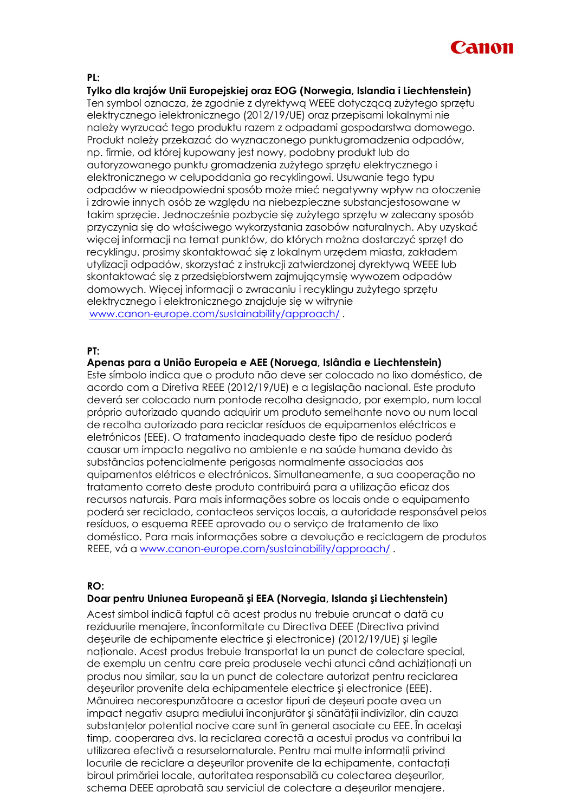

### **PL:**

# **Tylko dla krajów Unii Europejskiej oraz EOG (Norwegia, Islandia i Liechtenstein)**

Ten symbol oznacza, że zgodnie z dyrektywą WEEE dotyczącą zużytego sprzętu elektrycznego ielektronicznego (2012/19/UE) oraz przepisami lokalnymi nie należy wyrzucać tego produktu razem z odpadami gospodarstwa domowego. Produkt należy przekazać do wyznaczonego punktugromadzenia odpadów, np. firmie, od której kupowany jest nowy, podobny produkt lub do autoryzowanego punktu gromadzenia zużytego sprzętu elektrycznego i elektronicznego w celupoddania go recyklingowi. Usuwanie tego typu odpadów w nieodpowiedni sposób może mieć negatywny wpływ na otoczenie i zdrowie innych osób ze względu na niebezpieczne substancjestosowane w takim sprzęcie. Jednocześnie pozbycie się zużytego sprzętu w zalecany sposób przyczynia się do właściwego wykorzystania zasobów naturalnych. Aby uzyskać więcej informacji na temat punktów, do których można dostarczyć sprzęt do recyklingu, prosimy skontaktować się z lokalnym urzędem miasta, zakładem utylizacji odpadów, skorzystać z instrukcji zatwierdzonej dyrektywą WEEE lub skontaktować się z przedsiębiorstwem zajmującymsię wywozem odpadów domowych. Więcej informacji o zwracaniu i recyklingu zużytego sprzętu elektrycznego i elektronicznego znajduje się w witrynie [www.canon-europe.com/sustainability/approach/](http://www.canon-europe.com/sustainability/approach/) .

#### **PT:**

# **Apenas para a União Europeia e AEE (Noruega, Islândia e Liechtenstein)**

Este símbolo indica que o produto não deve ser colocado no lixo doméstico, de acordo com a Diretiva REEE (2012/19/UE) e a legislação nacional. Este produto deverá ser colocado num pontode recolha designado, por exemplo, num local próprio autorizado quando adquirir um produto semelhante novo ou num local de recolha autorizado para reciclar resíduos de equipamentos eléctricos e eletrónicos (EEE). O tratamento inadequado deste tipo de resíduo poderá causar um impacto negativo no ambiente e na saúde humana devido às substâncias potencialmente perigosas normalmente associadas aos quipamentos elétricos e electrónicos. Simultaneamente, a sua cooperação no tratamento correto deste produto contribuirá para a utilização eficaz dos recursos naturais. Para mais informações sobre os locais onde o equipamento poderá ser reciclado, contacteos serviços locais, a autoridade responsável pelos resíduos, o esquema REEE aprovado ou o serviço de tratamento de lixo doméstico. Para mais informações sobre a devolução e reciclagem de produtos REEE, vá a [www.canon-europe.com/sustainability/approach/](http://www.canon-europe.com/sustainability/approach/) .

#### **RO:**

# **Doar pentru Uniunea Europeană şi EEA (Norvegia, Islanda şi Liechtenstein)**

Acest simbol indică faptul că acest produs nu trebuie aruncat o dată cu reziduurile menajere, înconformitate cu Directiva DEEE (Directiva privind deşeurile de echipamente electrice şi electronice) (2012/19/UE) şi legile nationale. Acest produs trebuie transportat la un punct de colectare special, de exemplu un centru care preia produsele vechi atunci când achiziționați un produs nou similar, sau la un punct de colectare autorizat pentru reciclarea deşeurilor provenite dela echipamentele electrice şi electronice (EEE). Mânuirea necorespunzătoare a acestor tipuri de deşeuri poate avea un impact negativ asupra mediului înconjurător și sănătății indivizilor, din cauza substanțelor potențial nocive care sunt în general asociate cu EEE. În același timp, cooperarea dvs. la reciclarea corectă a acestui produs va contribui la utilizarea efectivă a resurselornaturale. Pentru mai multe informații privind locurile de reciclare a deşeurilor provenite de la echipamente, contactaţi biroul primăriei locale, autoritatea responsabilă cu colectarea deşeurilor, schema DEEE aprobată sau serviciul de colectare a deşeurilor menajere.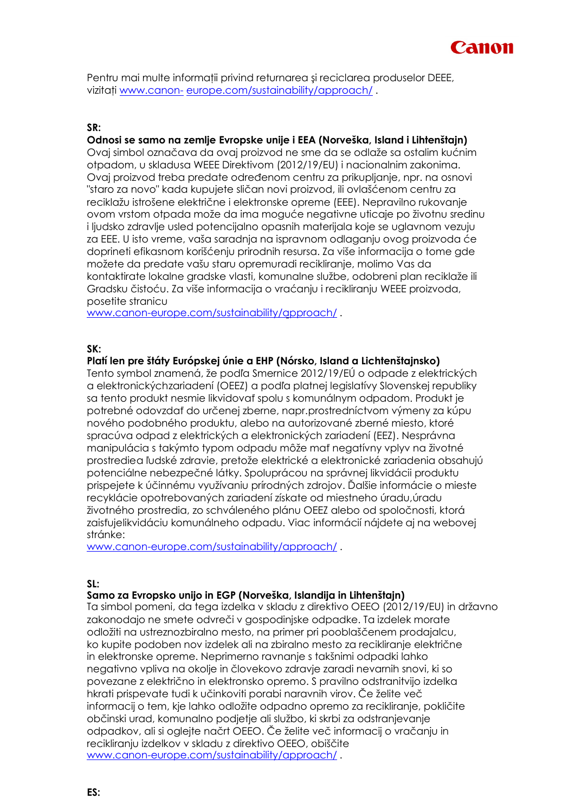

Pentru mai multe informatii privind returnarea și reciclarea produselor DEEE, vizitati [www.canon-](http://www.canon-europe.com/sustainability/approach/) [europe.com/sustainability/approach/](http://www.canon-europe.com/sustainability/approach/).

# **SR:**

# **Odnosi se samo na zemlje Evropske unije i EEA (Norveška, Island i Lihtenštajn)**

Ovaj simbol označava da ovaj proizvod ne sme da se odlaže sa ostalim kućnim otpadom, u skladusa WEEE Direktivom (2012/19/EU) i nacionalnim zakonima. Ovaj proizvod treba predate određenom centru za prikupljanje, npr. na osnovi "staro za novo" kada kupujete sličan novi proizvod, ili ovlašćenom centru za reciklažu istrošene električne i elektronske opreme (EEE). Nepravilno rukovanje ovom vrstom otpada može da ima moguće negativne uticaje po životnu sredinu i ljudsko zdravlje usled potencijalno opasnih materijala koje se uglavnom vezuju za EEE. U isto vreme, vaša saradnja na ispravnom odlaganju ovog proizvoda će doprineti efikasnom korišćenju prirodnih resursa. Za više informacija o tome gde možete da predate vašu staru opremuradi recikliranje, molimo Vas da kontaktirate lokalne gradske vlasti, komunalne službe, odobreni plan reciklaže ili Gradsku čistoću. Za više informacija o vraćanju i recikliranju WEEE proizvoda, posetite stranicu

[www.canon-europe.com/sustainability/approach/](http://www.canon-europe.com/sustainability/approach/) .

**SK:**

## **Platí len pre štáty Európskej únie a EHP (Nórsko, Island a Lichtenštajnsko)**

Tento symbol znamená, že podľa Smernice 2012/19/EÚ o odpade z elektrických a elektronickýchzariadení (OEEZ) a podľa platnej legislatívy Slovenskej republiky sa tento produkt nesmie likvidovať spolu s komunálnym odpadom. Produkt je potrebné odovzdať do určenej zberne, napr.prostredníctvom výmeny za kúpu nového podobného produktu, alebo na autorizované zberné miesto, ktoré spracúva odpad z elektrických a elektronických zariadení (EEZ). Nesprávna manipulácia s takýmto typom odpadu môže mať negatívny vplyv na životné prostrediea ľudské zdravie, pretože elektrické a elektronické zariadenia obsahujú potenciálne nebezpečné látky. Spoluprácou na správnej likvidácii produktu prispejete k účinnému využívaniu prírodných zdrojov. Ďalšie informácie o mieste recyklácie opotrebovaných zariadení získate od miestneho úradu,úradu životného prostredia, zo schváleného plánu OEEZ alebo od spoločnosti, ktorá zaisťujelikvidáciu komunálneho odpadu. Viac informácií nájdete aj na webovej stránke:

[www.canon-europe.com/sustainability/approach/](http://www.canon-europe.com/sustainability/approach/) .

#### **SL:**

#### **Samo za Evropsko unijo in EGP (Norveška, Islandija in Lihtenštajn)**

Ta simbol pomeni, da tega izdelka v skladu z direktivo OEEO (2012/19/EU) in državno zakonodajo ne smete odvreči v gospodinjske odpadke. Ta izdelek morate odložiti na ustreznozbiralno mesto, na primer pri pooblaščenem prodajalcu, ko kupite podoben nov izdelek ali na zbiralno mesto za recikliranje električne in elektronske opreme. Neprimerno ravnanje s takšnimi odpadki lahko negativno vpliva na okolje in človekovo zdravje zaradi nevarnih snovi, ki so povezane z električno in elektronsko opremo. S pravilno odstranitvijo izdelka hkrati prispevate tudi k učinkoviti porabi naravnih virov. Če želite več informacij o tem, kje lahko odložite odpadno opremo za recikliranje, pokličite občinski urad, komunalno podjetje ali službo, ki skrbi za odstranjevanje odpadkov, ali si oglejte načrt OEEO. Če želite več informacij o vračanju in recikliranju izdelkov v skladu z direktivo OEEO, obiščite [www.canon-europe.com/sustainability/approach/](http://www.canon-europe.com/sustainability/approach/) .